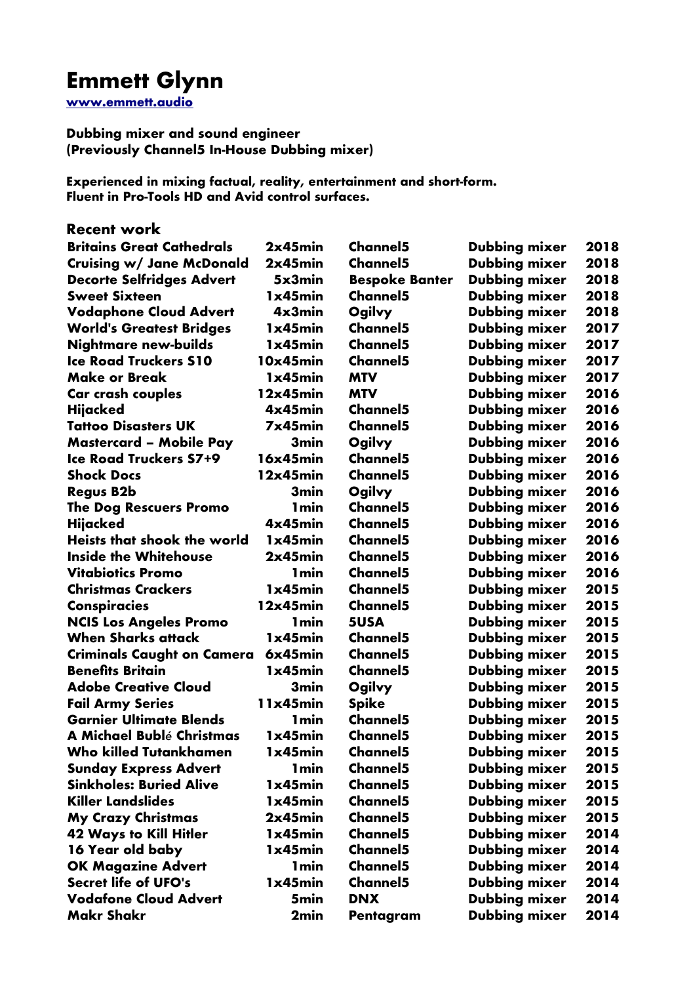# **Emmett Glynn**

**[www.emmett.audio](http://www.emmett.audio/)**

**Dubbing mixer and sound engineer (Previously Channel5 In-House Dubbing mixer)**

**Experienced in mixing factual, reality, entertainment and short-form. Fluent in Pro-Tools HD and Avid control surfaces.**

**Recent work** 

| <b>Britains Great Cathedrals</b>  | 2x45min          | <b>Channel5</b>       | Dubbing mixer        | 2018 |
|-----------------------------------|------------------|-----------------------|----------------------|------|
| <b>Cruising w/ Jane McDonald</b>  | 2x45min          | Channel <sub>5</sub>  | Dubbing mixer        | 2018 |
| <b>Decorte Selfridges Advert</b>  | 5x3min           | <b>Bespoke Banter</b> | Dubbing mixer        | 2018 |
| <b>Sweet Sixteen</b>              | 1x45min          | <b>Channel5</b>       | Dubbing mixer        | 2018 |
| <b>Vodaphone Cloud Advert</b>     | 4x3min           | Ogilvy                | <b>Dubbing mixer</b> | 2018 |
| <b>World's Greatest Bridges</b>   | 1x45min          | <b>Channel5</b>       | Dubbing mixer        | 2017 |
| <b>Nightmare new-builds</b>       | 1x45min          | <b>Channel5</b>       | Dubbing mixer        | 2017 |
| <b>Ice Road Truckers S10</b>      | 10x45min         | <b>Channel5</b>       | Dubbing mixer        | 2017 |
| <b>Make or Break</b>              | 1x45min          | <b>MTV</b>            | Dubbing mixer        | 2017 |
| Car crash couples                 | 12x45min         | <b>MTV</b>            | Dubbing mixer        | 2016 |
| Hijacked                          | 4x45min          | <b>Channel5</b>       | Dubbing mixer        | 2016 |
| <b>Tattoo Disasters UK</b>        | 7x45min          | <b>Channel5</b>       | Dubbing mixer        | 2016 |
| <b>Mastercard - Mobile Pay</b>    | 3 <sub>min</sub> | Ogilvy                | Dubbing mixer        | 2016 |
| <b>Ice Road Truckers S7+9</b>     | 16x45min         | <b>Channel5</b>       | Dubbing mixer        | 2016 |
| <b>Shock Docs</b>                 | 12x45min         | <b>Channel5</b>       | Dubbing mixer        | 2016 |
| <b>Regus B2b</b>                  | 3min             | Ogilvy                | Dubbing mixer        | 2016 |
| <b>The Dog Rescuers Promo</b>     | <b>1min</b>      | <b>Channel5</b>       | Dubbing mixer        | 2016 |
| Hijacked                          | 4x45min          | <b>Channel5</b>       | Dubbing mixer        | 2016 |
| Heists that shook the world       | 1x45min          | <b>Channel5</b>       | Dubbing mixer        | 2016 |
| <b>Inside the Whitehouse</b>      | 2x45min          | Channel <sub>5</sub>  | Dubbing mixer        | 2016 |
| <b>Vitabiotics Promo</b>          | <b>1min</b>      | <b>Channel5</b>       | Dubbing mixer        | 2016 |
| <b>Christmas Crackers</b>         | 1x45min          | <b>Channel5</b>       | <b>Dubbing mixer</b> | 2015 |
| <b>Conspiracies</b>               | 12x45min         | <b>Channel5</b>       | <b>Dubbing mixer</b> | 2015 |
| <b>NCIS Los Angeles Promo</b>     | <b>1min</b>      | 5USA                  | Dubbing mixer        | 2015 |
| <b>When Sharks attack</b>         | 1x45min          | <b>Channel5</b>       | Dubbing mixer        | 2015 |
| <b>Criminals Caught on Camera</b> | 6x45min          | <b>Channel5</b>       | Dubbing mixer        | 2015 |
| <b>Benefits Britain</b>           | 1x45min          | <b>Channel5</b>       | Dubbing mixer        | 2015 |
| <b>Adobe Creative Cloud</b>       | 3 <sub>min</sub> | Ogilvy                | Dubbing mixer        | 2015 |
| <b>Fail Army Series</b>           | 11x45min         | <b>Spike</b>          | Dubbing mixer        | 2015 |
| <b>Garnier Ultimate Blends</b>    | <b>1min</b>      | <b>Channel5</b>       | Dubbing mixer        | 2015 |
| A Michael Bublé Christmas         | 1x45min          | <b>Channel5</b>       | Dubbing mixer        | 2015 |
| <b>Who killed Tutankhamen</b>     | 1x45min          | <b>Channel5</b>       | Dubbing mixer        | 2015 |
| <b>Sunday Express Advert</b>      | <b>1min</b>      | <b>Channel5</b>       | Dubbing mixer        | 2015 |
| <b>Sinkholes: Buried Alive</b>    | 1x45min          | <b>Channel5</b>       | <b>Dubbing mixer</b> | 2015 |
| <b>Killer Landslides</b>          | 1x45min          | <b>Channel5</b>       | Dubbing mixer        | 2015 |
| <b>My Crazy Christmas</b>         | 2x45min          | <b>Channel5</b>       | <b>Dubbing mixer</b> | 2015 |
| <b>42 Ways to Kill Hitler</b>     | 1x45min          | <b>Channel5</b>       | <b>Dubbing mixer</b> | 2014 |
| 16 Year old baby                  | 1x45min          | <b>Channel5</b>       | Dubbing mixer        | 2014 |
| <b>OK Magazine Advert</b>         | <b>1min</b>      | <b>Channel5</b>       | Dubbing mixer        | 2014 |
| <b>Secret life of UFO's</b>       | 1x45min          | <b>Channel5</b>       | Dubbing mixer        | 2014 |
| <b>Vodafone Cloud Advert</b>      | 5min             | <b>DNX</b>            | Dubbing mixer        | 2014 |
| <b>Makr Shakr</b>                 | 2min             | Pentagram             | Dubbing mixer        | 2014 |